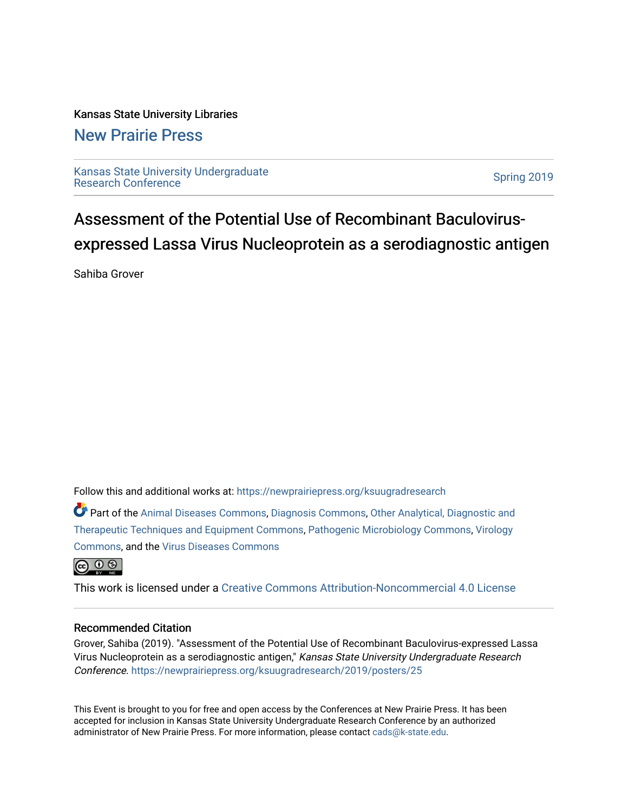#### Kansas State University Libraries

#### [New Prairie Press](https://newprairiepress.org/)

[Kansas State University Undergraduate](https://newprairiepress.org/ksuugradresearch)  Ransas State Only ensity Ondergraduate<br>[Research Conference](https://newprairiepress.org/ksuugradresearch)

#### Assessment of the Potential Use of Recombinant Baculovirusexpressed Lassa Virus Nucleoprotein as a serodiagnostic antigen

Sahiba Grover

Follow this and additional works at: [https://newprairiepress.org/ksuugradresearch](https://newprairiepress.org/ksuugradresearch?utm_source=newprairiepress.org%2Fksuugradresearch%2F2019%2Fposters%2F25&utm_medium=PDF&utm_campaign=PDFCoverPages) 

Part of the [Animal Diseases Commons,](http://network.bepress.com/hgg/discipline/918?utm_source=newprairiepress.org%2Fksuugradresearch%2F2019%2Fposters%2F25&utm_medium=PDF&utm_campaign=PDFCoverPages) [Diagnosis Commons,](http://network.bepress.com/hgg/discipline/945?utm_source=newprairiepress.org%2Fksuugradresearch%2F2019%2Fposters%2F25&utm_medium=PDF&utm_campaign=PDFCoverPages) [Other Analytical, Diagnostic and](http://network.bepress.com/hgg/discipline/994?utm_source=newprairiepress.org%2Fksuugradresearch%2F2019%2Fposters%2F25&utm_medium=PDF&utm_campaign=PDFCoverPages) [Therapeutic Techniques and Equipment Commons](http://network.bepress.com/hgg/discipline/994?utm_source=newprairiepress.org%2Fksuugradresearch%2F2019%2Fposters%2F25&utm_medium=PDF&utm_campaign=PDFCoverPages), [Pathogenic Microbiology Commons,](http://network.bepress.com/hgg/discipline/52?utm_source=newprairiepress.org%2Fksuugradresearch%2F2019%2Fposters%2F25&utm_medium=PDF&utm_campaign=PDFCoverPages) [Virology](http://network.bepress.com/hgg/discipline/53?utm_source=newprairiepress.org%2Fksuugradresearch%2F2019%2Fposters%2F25&utm_medium=PDF&utm_campaign=PDFCoverPages) [Commons](http://network.bepress.com/hgg/discipline/53?utm_source=newprairiepress.org%2Fksuugradresearch%2F2019%2Fposters%2F25&utm_medium=PDF&utm_campaign=PDFCoverPages), and the [Virus Diseases Commons](http://network.bepress.com/hgg/discipline/998?utm_source=newprairiepress.org%2Fksuugradresearch%2F2019%2Fposters%2F25&utm_medium=PDF&utm_campaign=PDFCoverPages) 



This work is licensed under a [Creative Commons Attribution-Noncommercial 4.0 License](https://creativecommons.org/licenses/by-nc/4.0/)

#### Recommended Citation

Grover, Sahiba (2019). "Assessment of the Potential Use of Recombinant Baculovirus-expressed Lassa Virus Nucleoprotein as a serodiagnostic antigen," Kansas State University Undergraduate Research Conference.<https://newprairiepress.org/ksuugradresearch/2019/posters/25>

This Event is brought to you for free and open access by the Conferences at New Prairie Press. It has been accepted for inclusion in Kansas State University Undergraduate Research Conference by an authorized administrator of New Prairie Press. For more information, please contact [cads@k-state.edu](mailto:cads@k-state.edu).